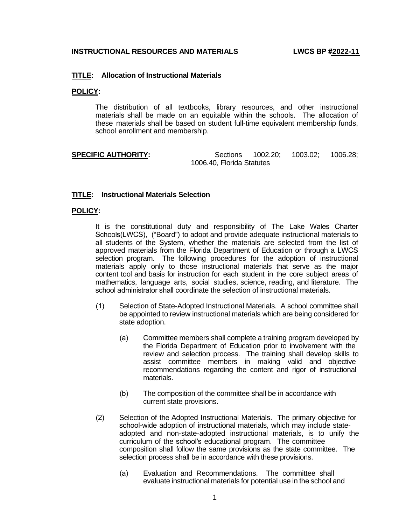# **TITLE: Allocation of Instructional Materials**

### **POLICY:**

The distribution of all textbooks, library resources, and other instructional materials shall be made on an equitable within the schools. The allocation of these materials shall be based on student full-time equivalent membership funds, school enrollment and membership.

 **SPECIFIC AUTHORITY:** Sections 1002.20; 1003.02; 1006.28; 1006.40, Florida Statutes

## **TITLE: Instructional Materials Selection**

### **POLICY:**

It is the constitutional duty and responsibility of The Lake Wales Charter Schools(LWCS), ("Board") to adopt and provide adequate instructional materials to all students of the System, whether the materials are selected from the list of approved materials from the Florida Department of Education or through a LWCS selection program. The following procedures for the adoption of instructional materials apply only to those instructional materials that serve as the major content tool and basis for instruction for each student in the core subject areas of mathematics, language arts, social studies, science, reading, and literature. The school administrator shall coordinate the selection of instructional materials.

- (1) Selection of State-Adopted Instructional Materials. A school committee shall be appointed to review instructional materials which are being considered for state adoption.
	- (a) Committee members shall complete a training program developed by the Florida Department of Education prior to involvement with the review and selection process. The training shall develop skills to assist committee members in making valid and objective recommendations regarding the content and rigor of instructional materials.
	- (b) The composition of the committee shall be in accordance with current state provisions.
- (2) Selection of the Adopted Instructional Materials. The primary objective for school-wide adoption of instructional materials, which may include stateadopted and non-state-adopted instructional materials, is to unify the curriculum of the school's educational program. The committee composition shall follow the same provisions as the state committee. The selection process shall be in accordance with these provisions.
	- (a) Evaluation and Recommendations. The committee shall evaluate instructional materials for potential use in the school and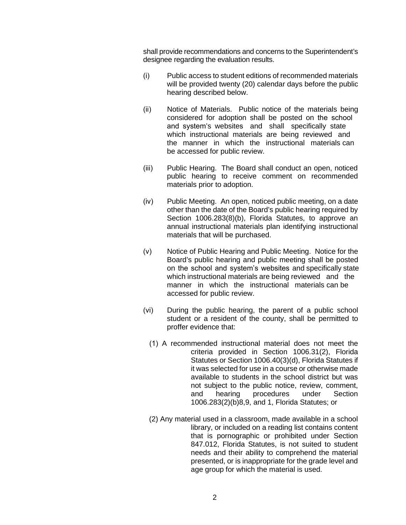shall provide recommendations and concerns to the Superintendent's designee regarding the evaluation results.

- (i) Public access to student editions of recommended materials will be provided twenty (20) calendar days before the public hearing described below.
- (ii) Notice of Materials. Public notice of the materials being considered for adoption shall be posted on the school and system's websites and shall specifically state which instructional materials are being reviewed and the manner in which the instructional materials can be accessed for public review.
- (iii) Public Hearing. The Board shall conduct an open, noticed public hearing to receive comment on recommended materials prior to adoption.
- (iv) Public Meeting. An open, noticed public meeting, on a date other than the date of the Board's public hearing required by Section 1006.283(8)(b), Florida Statutes, to approve an annual instructional materials plan identifying instructional materials that will be purchased.
- (v) Notice of Public Hearing and Public Meeting. Notice for the Board's public hearing and public meeting shall be posted on the school and system's websites and specifically state which instructional materials are being reviewed and the manner in which the instructional materials can be accessed for public review.
- (vi) During the public hearing, the parent of a public school student or a resident of the county, shall be permitted to proffer evidence that:
	- (1) A recommended instructional material does not meet the criteria provided in Section 1006.31(2), Florida Statutes or Section 1006.40(3)(d), Florida Statutes if it was selected for use in a course or otherwise made available to students in the school district but was not subject to the public notice, review, comment, and hearing procedures under Section 1006.283(2)(b)8,9, and 1, Florida Statutes; or
	- (2) Any material used in a classroom, made available in a school library, or included on a reading list contains content that is pornographic or prohibited under Section 847.012, Florida Statutes, is not suited to student needs and their ability to comprehend the material presented, or is inappropriate for the grade level and age group for which the material is used.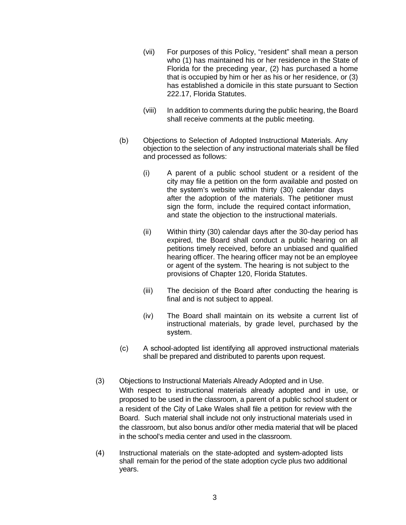- (vii) For purposes of this Policy, "resident" shall mean a person who (1) has maintained his or her residence in the State of Florida for the preceding year, (2) has purchased a home that is occupied by him or her as his or her residence, or (3) has established a domicile in this state pursuant to Section 222.17, Florida Statutes.
- (viii) In addition to comments during the public hearing, the Board shall receive comments at the public meeting.
- (b) Objections to Selection of Adopted Instructional Materials. Any objection to the selection of any instructional materials shall be filed and processed as follows:
	- (i) A parent of a public school student or a resident of the city may file a petition on the form available and posted on the system's website within thirty (30) calendar days after the adoption of the materials. The petitioner must sign the form, include the required contact information, and state the objection to the instructional materials.
	- (ii) Within thirty (30) calendar days after the 30-day period has expired, the Board shall conduct a public hearing on all petitions timely received, before an unbiased and qualified hearing officer. The hearing officer may not be an employee or agent of the system. The hearing is not subject to the provisions of Chapter 120, Florida Statutes.
	- (iii) The decision of the Board after conducting the hearing is final and is not subject to appeal.
	- (iv) The Board shall maintain on its website a current list of instructional materials, by grade level, purchased by the system.
- (c) A school-adopted list identifying all approved instructional materials shall be prepared and distributed to parents upon request.
- (3) Objections to Instructional Materials Already Adopted and in Use. With respect to instructional materials already adopted and in use, or proposed to be used in the classroom, a parent of a public school student or a resident of the City of Lake Wales shall file a petition for review with the Board. Such material shall include not only instructional materials used in the classroom, but also bonus and/or other media material that will be placed in the school's media center and used in the classroom.
- (4) Instructional materials on the state-adopted and system-adopted lists shall remain for the period of the state adoption cycle plus two additional years.